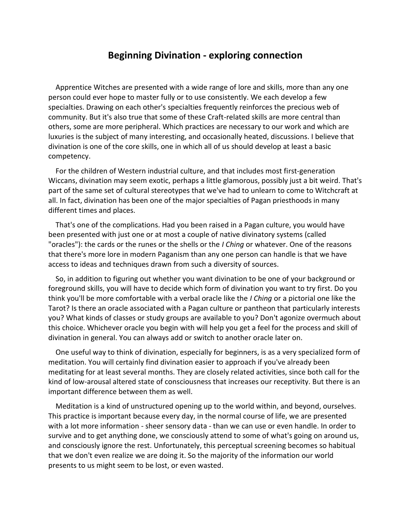## **Beginning Divination - exploring connection**

Apprentice Witches are presented with a wide range of lore and skills, more than any one person could ever hope to master fully or to use consistently. We each develop a few specialties. Drawing on each other's specialties frequently reinforces the precious web of community. But it's also true that some of these Craft-related skills are more central than others, some are more peripheral. Which practices are necessary to our work and which are luxuries is the subject of many interesting, and occasionally heated, discussions. I believe that divination is one of the core skills, one in which all of us should develop at least a basic competency.

For the children of Western industrial culture, and that includes most first-generation Wiccans, divination may seem exotic, perhaps a little glamorous, possibly just a bit weird. That's part of the same set of cultural stereotypes that we've had to unlearn to come to Witchcraft at all. In fact, divination has been one of the major specialties of Pagan priesthoods in many different times and places.

That's one of the complications. Had you been raised in a Pagan culture, you would have been presented with just one or at most a couple of native divinatory systems (called "oracles"): the cards or the runes or the shells or the *I Ching* or whatever. One of the reasons that there's more lore in modern Paganism than any one person can handle is that we have access to ideas and techniques drawn from such a diversity of sources.

So, in addition to figuring out whether you want divination to be one of your background or foreground skills, you will have to decide which form of divination you want to try first. Do you think you'll be more comfortable with a verbal oracle like the *I Ching* or a pictorial one like the Tarot? Is there an oracle associated with a Pagan culture or pantheon that particularly interests you? What kinds of classes or study groups are available to you? Don't agonize overmuch about this choice. Whichever oracle you begin with will help you get a feel for the process and skill of divination in general. You can always add or switch to another oracle later on.

One useful way to think of divination, especially for beginners, is as a very specialized form of meditation. You will certainly find divination easier to approach if you've already been meditating for at least several months. They are closely related activities, since both call for the kind of low-arousal altered state of consciousness that increases our receptivity. But there is an important difference between them as well.

Meditation is a kind of unstructured opening up to the world within, and beyond, ourselves. This practice is important because every day, in the normal course of life, we are presented with a lot more information - sheer sensory data - than we can use or even handle. In order to survive and to get anything done, we consciously attend to some of what's going on around us, and consciously ignore the rest. Unfortunately, this perceptual screening becomes so habitual that we don't even realize we are doing it. So the majority of the information our world presents to us might seem to be lost, or even wasted.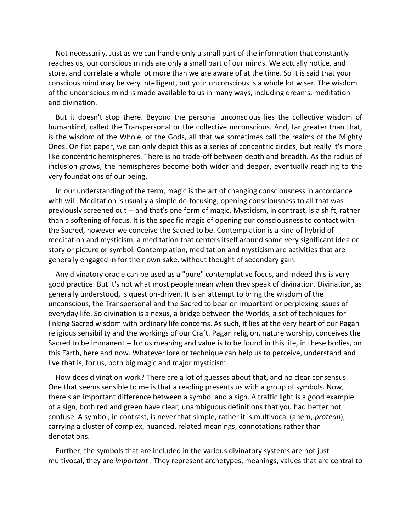Not necessarily. Just as we can handle only a small part of the information that constantly reaches us, our conscious minds are only a small part of our minds. We actually notice, and store, and correlate a whole lot more than we are aware of at the time. So it is said that your conscious mind may be very intelligent, but your unconscious is a whole lot wiser. The wisdom of the unconscious mind is made available to us in many ways, including dreams, meditation and divination.

But it doesn't stop there. Beyond the personal unconscious lies the collective wisdom of humankind, called the Transpersonal or the collective unconscious. And, far greater than that, is the wisdom of the Whole, of the Gods, all that we sometimes call the realms of the Mighty Ones. On flat paper, we can only depict this as a series of concentric circles, but really it's more like concentric hemispheres. There is no trade-off between depth and breadth. As the radius of inclusion grows, the hemispheres become both wider and deeper, eventually reaching to the very foundations of our being.

In our understanding of the term, magic is the art of changing consciousness in accordance with will. Meditation is usually a simple de-focusing, opening consciousness to all that was previously screened out -- and that's one form of magic. Mysticism, in contrast, is a shift, rather than a softening of focus. It is the specific magic of opening our consciousness to contact with the Sacred, however we conceive the Sacred to be. Contemplation is a kind of hybrid of meditation and mysticism, a meditation that centers itself around some very significant idea or story or picture or symbol. Contemplation, meditation and mysticism are activities that are generally engaged in for their own sake, without thought of secondary gain.

Any divinatory oracle can be used as a "pure" contemplative focus, and indeed this is very good practice. But it's not what most people mean when they speak of divination. Divination, as generally understood, is question-driven. It is an attempt to bring the wisdom of the unconscious, the Transpersonal and the Sacred to bear on important or perplexing issues of everyday life. So divination is a nexus, a bridge between the Worlds, a set of techniques for linking Sacred wisdom with ordinary life concerns. As such, it lies at the very heart of our Pagan religious sensibility and the workings of our Craft. Pagan religion, nature worship, conceives the Sacred to be immanent -- for us meaning and value is to be found in this life, in these bodies, on this Earth, here and now. Whatever lore or technique can help us to perceive, understand and live that is, for us, both big magic and major mysticism.

How does divination work? There are a lot of guesses about that, and no clear consensus. One that seems sensible to me is that a reading presents us with a group of symbols. Now, there's an important difference between a symbol and a sign. A traffic light is a good example of a sign; both red and green have clear, unambiguous definitions that you had better not confuse. A symbol, in contrast, is never that simple, rather it is multivocal (ahem, *protean*), carrying a cluster of complex, nuanced, related meanings, connotations rather than denotations.

Further, the symbols that are included in the various divinatory systems are not just multivocal, they are *important* . They represent archetypes, meanings, values that are central to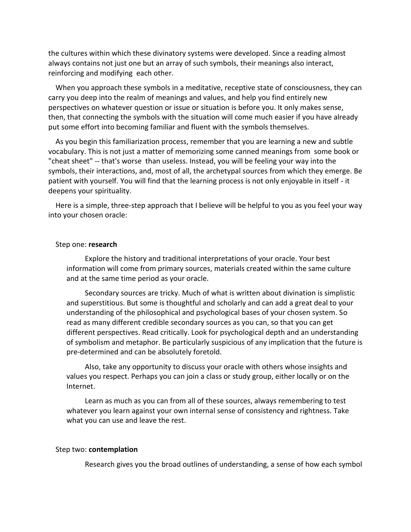the cultures within which these divinatory systems were developed. Since a reading almost always contains not just one but an array of such symbols, their meanings also interact, reinforcing and modifying each other.

When you approach these symbols in a meditative, receptive state of consciousness, they can carry you deep into the realm of meanings and values, and help you find entirely new perspectives on whatever question or issue or situation is before you. It only makes sense, then, that connecting the symbols with the situation will come much easier if you have already put some effort into becoming familiar and fluent with the symbols themselves.

As you begin this familiarization process, remember that you are learning a new and subtle vocabulary. This is not just a matter of memorizing some canned meanings from some book or "cheat sheet" -- that's worse than useless. Instead, you will be feeling your way into the symbols, their interactions, and, most of all, the archetypal sources from which they emerge. Be patient with yourself. You will find that the learning process is not only enjoyable in itself - it deepens your spirituality.

Here is a simple, three-step approach that I believe will be helpful to you as you feel your way into your chosen oracle:

### Step one: **research**

Explore the history and traditional interpretations of your oracle. Your best information will come from primary sources, materials created within the same culture and at the same time period as your oracle.

Secondary sources are tricky. Much of what is written about divination is simplistic and superstitious. But some is thoughtful and scholarly and can add a great deal to your understanding of the philosophical and psychological bases of your chosen system. So read as many different credible secondary sources as you can, so that you can get different perspectives. Read critically. Look for psychological depth and an understanding of symbolism and metaphor. Be particularly suspicious of any implication that the future is pre-determined and can be absolutely foretold.

Also, take any opportunity to discuss your oracle with others whose insights and values you respect. Perhaps you can join a class or study group, either locally or on the Internet.

Learn as much as you can from all of these sources, always remembering to test whatever you learn against your own internal sense of consistency and rightness. Take what you can use and leave the rest.

### Step two: **contemplation**

Research gives you the broad outlines of understanding, a sense of how each symbol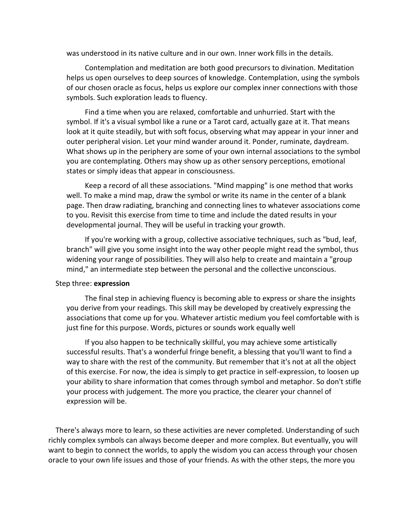was understood in its native culture and in our own. Inner work fills in the details.

Contemplation and meditation are both good precursors to divination. Meditation helps us open ourselves to deep sources of knowledge. Contemplation, using the symbols of our chosen oracle as focus, helps us explore our complex inner connections with those symbols. Such exploration leads to fluency.

Find a time when you are relaxed, comfortable and unhurried. Start with the symbol. If it's a visual symbol like a rune or a Tarot card, actually gaze at it. That means look at it quite steadily, but with soft focus, observing what may appear in your inner and outer peripheral vision. Let your mind wander around it. Ponder, ruminate, daydream. What shows up in the periphery are some of your own internal associations to the symbol you are contemplating. Others may show up as other sensory perceptions, emotional states or simply ideas that appear in consciousness.

Keep a record of all these associations. "Mind mapping" is one method that works well. To make a mind map, draw the symbol or write its name in the center of a blank page. Then draw radiating, branching and connecting lines to whatever associations come to you. Revisit this exercise from time to time and include the dated results in your developmental journal. They will be useful in tracking your growth.

If you're working with a group, collective associative techniques, such as "bud, leaf, branch" will give you some insight into the way other people might read the symbol, thus widening your range of possibilities. They will also help to create and maintain a "group mind," an intermediate step between the personal and the collective unconscious.

### Step three: **expression**

The final step in achieving fluency is becoming able to express or share the insights you derive from your readings. This skill may be developed by creatively expressing the associations that come up for you. Whatever artistic medium you feel comfortable with is just fine for this purpose. Words, pictures or sounds work equally well

If you also happen to be technically skillful, you may achieve some artistically successful results. That's a wonderful fringe benefit, a blessing that you'll want to find a way to share with the rest of the community. But remember that it's not at all the object of this exercise. For now, the idea is simply to get practice in self-expression, to loosen up your ability to share information that comes through symbol and metaphor. So don't stifle your process with judgement. The more you practice, the clearer your channel of expression will be.

There's always more to learn, so these activities are never completed. Understanding of such richly complex symbols can always become deeper and more complex. But eventually, you will want to begin to connect the worlds, to apply the wisdom you can access through your chosen oracle to your own life issues and those of your friends. As with the other steps, the more you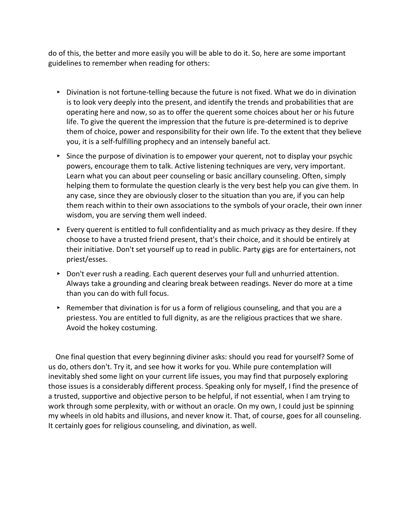do of this, the better and more easily you will be able to do it. So, here are some important guidelines to remember when reading for others:

- ▸ Divination is not fortune-telling because the future is not fixed. What we do in divination is to look very deeply into the present, and identify the trends and probabilities that are operating here and now, so as to offer the querent some choices about her or his future life. To give the querent the impression that the future is pre-determined is to deprive them of choice, power and responsibility for their own life. To the extent that they believe you, it is a self-fulfilling prophecy and an intensely baneful act.
- ▸ Since the purpose of divination is to empower your querent, not to display your psychic powers, encourage them to talk. Active listening techniques are very, very important. Learn what you can about peer counseling or basic ancillary counseling. Often, simply helping them to formulate the question clearly is the very best help you can give them. In any case, since they are obviously closer to the situation than you are, if you can help them reach within to their own associations to the symbols of your oracle, their own inner wisdom, you are serving them well indeed.
- $\triangleright$  Every querent is entitled to full confidentiality and as much privacy as they desire. If they choose to have a trusted friend present, that's their choice, and it should be entirely at their initiative. Don't set yourself up to read in public. Party gigs are for entertainers, not priest/esses.
- ▸ Don't ever rush a reading. Each querent deserves your full and unhurried attention. Always take a grounding and clearing break between readings. Never do more at a time than you can do with full focus.
- ▸ Remember that divination is for us a form of religious counseling, and that you are a priestess. You are entitled to full dignity, as are the religious practices that we share. Avoid the hokey costuming.

One final question that every beginning diviner asks: should you read for yourself? Some of us do, others don't. Try it, and see how it works for you. While pure contemplation will inevitably shed some light on your current life issues, you may find that purposely exploring those issues is a considerably different process. Speaking only for myself, I find the presence of a trusted, supportive and objective person to be helpful, if not essential, when I am trying to work through some perplexity, with or without an oracle. On my own, I could just be spinning my wheels in old habits and illusions, and never know it. That, of course, goes for all counseling. It certainly goes for religious counseling, and divination, as well.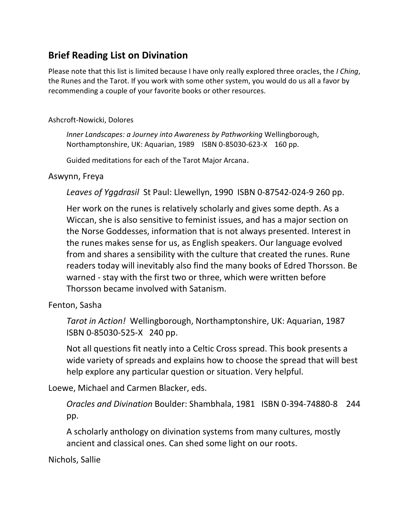# **Brief Reading List on Divination**

Please note that this list is limited because I have only really explored three oracles, the *I Ching*, the Runes and the Tarot. If you work with some other system, you would do us all a favor by recommending a couple of your favorite books or other resources.

### Ashcroft-Nowicki, Dolores

*Inner Landscapes: a Journey into Awareness by Pathworking* Wellingborough, Northamptonshire, UK: Aquarian, 1989 ISBN 0-85030-623-X 160 pp.

Guided meditations for each of the Tarot Major Arcana.

## Aswynn, Freya

*Leaves of Yggdrasil* St Paul: Llewellyn, 1990 ISBN 0-87542-024-9 260 pp.

Her work on the runes is relatively scholarly and gives some depth. As a Wiccan, she is also sensitive to feminist issues, and has a major section on the Norse Goddesses, information that is not always presented. Interest in the runes makes sense for us, as English speakers. Our language evolved from and shares a sensibility with the culture that created the runes. Rune readers today will inevitably also find the many books of Edred Thorsson. Be warned - stay with the first two or three, which were written before Thorsson became involved with Satanism.

# Fenton, Sasha

*Tarot in Action!* Wellingborough, Northamptonshire, UK: Aquarian, 1987 ISBN 0-85030-525-X 240 pp.

Not all questions fit neatly into a Celtic Cross spread. This book presents a wide variety of spreads and explains how to choose the spread that will best help explore any particular question or situation. Very helpful.

Loewe, Michael and Carmen Blacker, eds.

*Oracles and Divination* Boulder: Shambhala, 1981 ISBN 0-394-74880-8 244 pp.

A scholarly anthology on divination systems from many cultures, mostly ancient and classical ones. Can shed some light on our roots.

Nichols, Sallie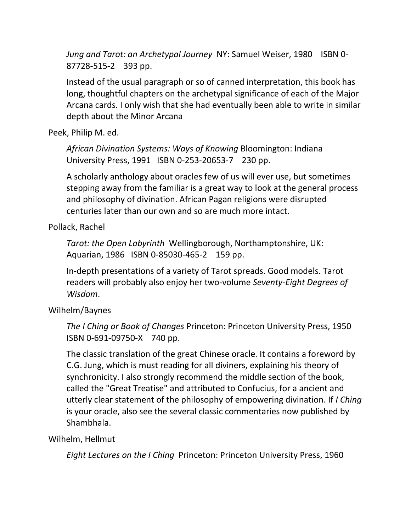*Jung and Tarot: an Archetypal Journey* NY: Samuel Weiser, 1980 ISBN 0-87728-515-2 393 pp.

Instead of the usual paragraph or so of canned interpretation, this book has long, thoughtful chapters on the archetypal significance of each of the Major Arcana cards. I only wish that she had eventually been able to write in similar depth about the Minor Arcana

Peek, Philip M. ed.

*African Divination Systems: Ways of Knowing* Bloomington: Indiana University Press, 1991 ISBN 0-253-20653-7 230 pp.

A scholarly anthology about oracles few of us will ever use, but sometimes stepping away from the familiar is a great way to look at the general process and philosophy of divination. African Pagan religions were disrupted centuries later than our own and so are much more intact.

Pollack, Rachel

*Tarot: the Open Labyrinth* Wellingborough, Northamptonshire, UK: Aquarian, 1986 ISBN 0-85030-465-2 159 pp.

In-depth presentations of a variety of Tarot spreads. Good models. Tarot readers will probably also enjoy her two-volume *Seventy-Eight Degrees of Wisdom*.

Wilhelm/Baynes

*The I Ching or Book of Changes* Princeton: Princeton University Press, 1950 ISBN 0-691-09750-X 740 pp.

The classic translation of the great Chinese oracle. It contains a foreword by C.G. Jung, which is must reading for all diviners, explaining his theory of synchronicity. I also strongly recommend the middle section of the book, called the "Great Treatise" and attributed to Confucius, for a ancient and utterly clear statement of the philosophy of empowering divination. If *I Ching* is your oracle, also see the several classic commentaries now published by Shambhala.

## Wilhelm, Hellmut

*Eight Lectures on the I Ching* Princeton: Princeton University Press, 1960